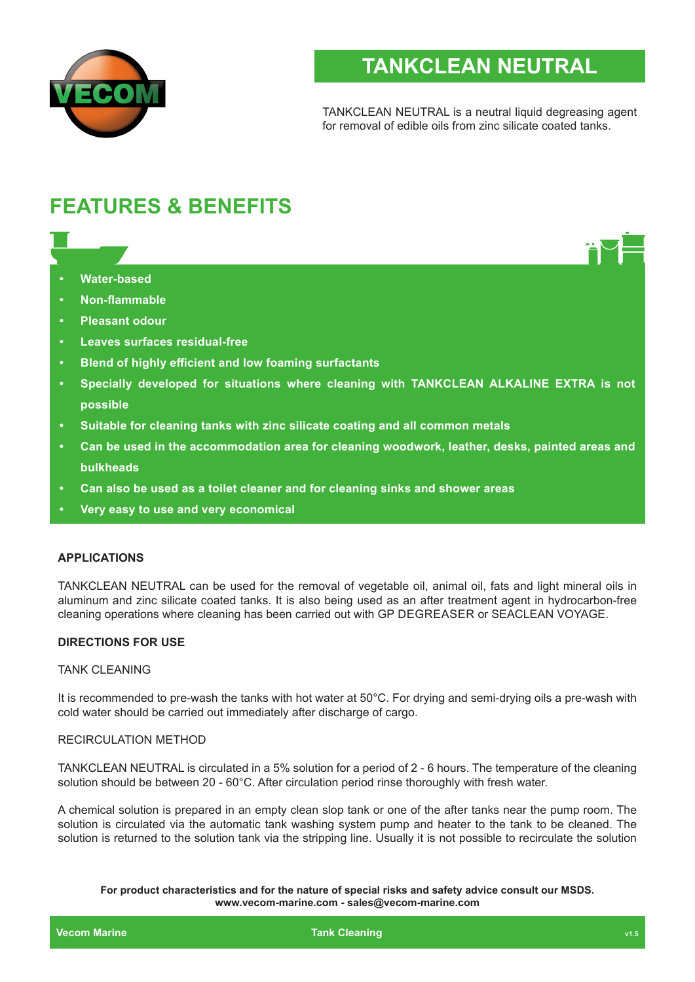

# **TANKCLEAN NEUTRAL**

TANKCLEAN NEUTRAL is a neutral liquid degreasing agent for removal of edible oils from zinc silicate coated tanks.

# **FEATURES & BENEFITS**

- **• Water-based**
- **• Non-flammable**
- **• Pleasant odour**
- **• Leaves surfaces residual-free**
- **• Blend of highly efficient and low foaming surfactants**
- **• Specially developed for situations where cleaning with TANKCLEAN ALKALINE EXTRA is not possible**
- **• Suitable for cleaning tanks with zinc silicate coating and all common metals**
- **• Can be used in the accommodation area for cleaning woodwork, leather, desks, painted areas and bulkheads**
- **• Can also be used as a toilet cleaner and for cleaning sinks and shower areas**
- **• Very easy to use and very economical**

## **APPLICATIONS**

TANKCLEAN NEUTRAL can be used for the removal of vegetable oil, animal oil, fats and light mineral oils in aluminum and zinc silicate coated tanks. It is also being used as an after treatment agent in hydrocarbon-free cleaning operations where cleaning has been carried out with GP DEGREASER or SEACLEAN VOYAGE.

#### **DIRECTIONS FOR USE**

#### TANK CLEANING

It is recommended to pre-wash the tanks with hot water at 50°C. For drying and semi-drying oils a pre-wash with cold water should be carried out immediately after discharge of cargo.

#### RECIRCULATION METHOD

TANKCLEAN NEUTRAL is circulated in a 5% solution for a period of 2 - 6 hours. The temperature of the cleaning solution should be between 20 - 60°C. After circulation period rinse thoroughly with fresh water.

A chemical solution is prepared in an empty clean slop tank or one of the after tanks near the pump room. The solution is circulated via the automatic tank washing system pump and heater to the tank to be cleaned. The solution is returned to the solution tank via the stripping line. Usually it is not possible to recirculate the solution

**For product characteristics and for the nature of special risks and safety advice consult our MSDS. www.vecom-marine.com - sales@vecom-marine.com**

**Vecom Marine Tank Cleaning View Cleaning View Aristopher Cleaning View Aristopher Cleaning View Aristopher Cleaning View Aristopher Cleaning View Aristopher Cleaning View Aristopher Cleaning View Aristopher Cleaning View**